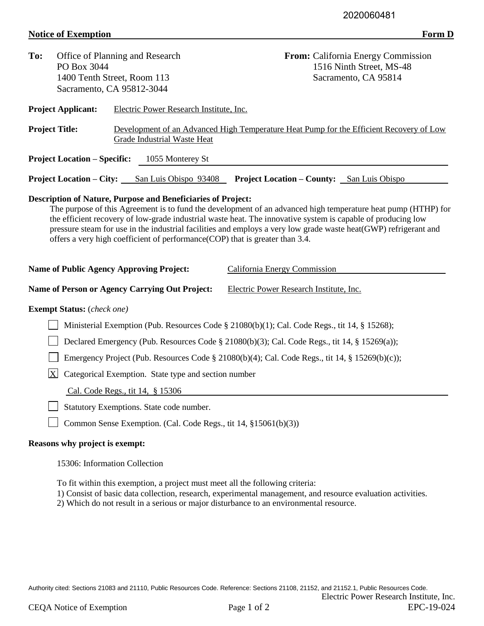## **Notice of Exemption** Form D

| To:                                                                                                                                                                                                                                                                                                                                                                                                                                                                                                      | PO Box 3044                                                          | Office of Planning and Research<br>1400 Tenth Street, Room 113<br>Sacramento, CA 95812-3044                            | From: California Energy Commission<br>1516 Ninth Street, MS-48<br>Sacramento, CA 95814       |  |  |  |  |  |
|----------------------------------------------------------------------------------------------------------------------------------------------------------------------------------------------------------------------------------------------------------------------------------------------------------------------------------------------------------------------------------------------------------------------------------------------------------------------------------------------------------|----------------------------------------------------------------------|------------------------------------------------------------------------------------------------------------------------|----------------------------------------------------------------------------------------------|--|--|--|--|--|
|                                                                                                                                                                                                                                                                                                                                                                                                                                                                                                          | <b>Project Applicant:</b>                                            | Electric Power Research Institute, Inc.                                                                                |                                                                                              |  |  |  |  |  |
| <b>Project Title:</b>                                                                                                                                                                                                                                                                                                                                                                                                                                                                                    |                                                                      | Development of an Advanced High Temperature Heat Pump for the Efficient Recovery of Low<br>Grade Industrial Waste Heat |                                                                                              |  |  |  |  |  |
|                                                                                                                                                                                                                                                                                                                                                                                                                                                                                                          | <b>Project Location – Specific:</b>                                  | 1055 Monterey St                                                                                                       |                                                                                              |  |  |  |  |  |
|                                                                                                                                                                                                                                                                                                                                                                                                                                                                                                          |                                                                      | <b>Project Location – City:</b> San Luis Obispo 93408                                                                  | <b>Project Location – County:</b> San Luis Obispo                                            |  |  |  |  |  |
| <b>Description of Nature, Purpose and Beneficiaries of Project:</b><br>The purpose of this Agreement is to fund the development of an advanced high temperature heat pump (HTHP) for<br>the efficient recovery of low-grade industrial waste heat. The innovative system is capable of producing low<br>pressure steam for use in the industrial facilities and employs a very low grade waste heat(GWP) refrigerant and<br>offers a very high coefficient of performance(COP) that is greater than 3.4. |                                                                      |                                                                                                                        |                                                                                              |  |  |  |  |  |
| <b>Name of Public Agency Approving Project:</b><br><b>California Energy Commission</b>                                                                                                                                                                                                                                                                                                                                                                                                                   |                                                                      |                                                                                                                        |                                                                                              |  |  |  |  |  |
|                                                                                                                                                                                                                                                                                                                                                                                                                                                                                                          |                                                                      | Name of Person or Agency Carrying Out Project:                                                                         | Electric Power Research Institute, Inc.                                                      |  |  |  |  |  |
| <b>Exempt Status:</b> (check one)                                                                                                                                                                                                                                                                                                                                                                                                                                                                        |                                                                      |                                                                                                                        |                                                                                              |  |  |  |  |  |
|                                                                                                                                                                                                                                                                                                                                                                                                                                                                                                          |                                                                      |                                                                                                                        | Ministerial Exemption (Pub. Resources Code § 21080(b)(1); Cal. Code Regs., tit 14, § 15268); |  |  |  |  |  |
| Declared Emergency (Pub. Resources Code § 21080(b)(3); Cal. Code Regs., tit 14, § 15269(a));                                                                                                                                                                                                                                                                                                                                                                                                             |                                                                      |                                                                                                                        |                                                                                              |  |  |  |  |  |
| Emergency Project (Pub. Resources Code § 21080(b)(4); Cal. Code Regs., tit 14, § 15269(b)(c));                                                                                                                                                                                                                                                                                                                                                                                                           |                                                                      |                                                                                                                        |                                                                                              |  |  |  |  |  |
|                                                                                                                                                                                                                                                                                                                                                                                                                                                                                                          | $\mathbf{X}$<br>Categorical Exemption. State type and section number |                                                                                                                        |                                                                                              |  |  |  |  |  |
|                                                                                                                                                                                                                                                                                                                                                                                                                                                                                                          |                                                                      | Cal. Code Regs., tit 14, § 15306                                                                                       |                                                                                              |  |  |  |  |  |
| Statutory Exemptions. State code number.                                                                                                                                                                                                                                                                                                                                                                                                                                                                 |                                                                      |                                                                                                                        |                                                                                              |  |  |  |  |  |
|                                                                                                                                                                                                                                                                                                                                                                                                                                                                                                          |                                                                      | Common Sense Exemption. (Cal. Code Regs., tit 14, §15061(b)(3))                                                        |                                                                                              |  |  |  |  |  |
| Reasons why project is exempt:                                                                                                                                                                                                                                                                                                                                                                                                                                                                           |                                                                      |                                                                                                                        |                                                                                              |  |  |  |  |  |
|                                                                                                                                                                                                                                                                                                                                                                                                                                                                                                          |                                                                      | 15306: Information Collection                                                                                          |                                                                                              |  |  |  |  |  |
|                                                                                                                                                                                                                                                                                                                                                                                                                                                                                                          |                                                                      | To fit within this exemption, a project must meet all the following criteria:                                          |                                                                                              |  |  |  |  |  |

- 1) Consist of basic data collection, research, experimental management, and resource evaluation activities.
- 2) Which do not result in a serious or major disturbance to an environmental resource.